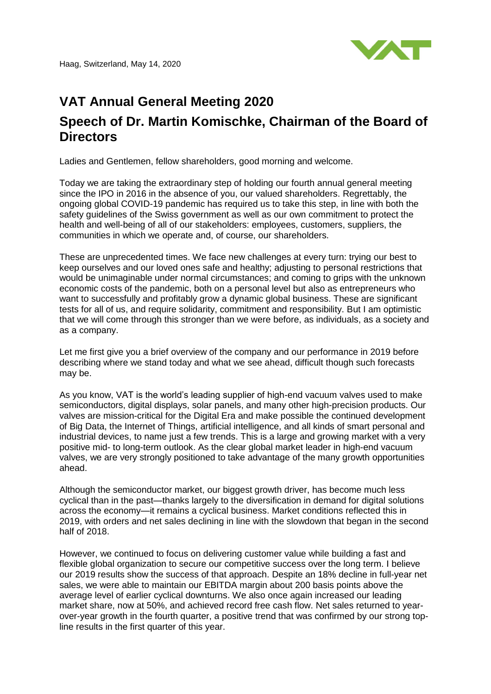Haag, Switzerland, May 14, 2020



## **VAT Annual General Meeting 2020 Speech of Dr. Martin Komischke, Chairman of the Board of Directors**

Ladies and Gentlemen, fellow shareholders, good morning and welcome.

Today we are taking the extraordinary step of holding our fourth annual general meeting since the IPO in 2016 in the absence of you, our valued shareholders. Regrettably, the ongoing global COVID-19 pandemic has required us to take this step, in line with both the safety guidelines of the Swiss government as well as our own commitment to protect the health and well-being of all of our stakeholders: employees, customers, suppliers, the communities in which we operate and, of course, our shareholders.

These are unprecedented times. We face new challenges at every turn: trying our best to keep ourselves and our loved ones safe and healthy; adjusting to personal restrictions that would be unimaginable under normal circumstances; and coming to grips with the unknown economic costs of the pandemic, both on a personal level but also as entrepreneurs who want to successfully and profitably grow a dynamic global business. These are significant tests for all of us, and require solidarity, commitment and responsibility. But I am optimistic that we will come through this stronger than we were before, as individuals, as a society and as a company.

Let me first give you a brief overview of the company and our performance in 2019 before describing where we stand today and what we see ahead, difficult though such forecasts may be.

As you know, VAT is the world's leading supplier of high-end vacuum valves used to make semiconductors, digital displays, solar panels, and many other high-precision products. Our valves are mission-critical for the Digital Era and make possible the continued development of Big Data, the Internet of Things, artificial intelligence, and all kinds of smart personal and industrial devices, to name just a few trends. This is a large and growing market with a very positive mid- to long-term outlook. As the clear global market leader in high-end vacuum valves, we are very strongly positioned to take advantage of the many growth opportunities ahead.

Although the semiconductor market, our biggest growth driver, has become much less cyclical than in the past—thanks largely to the diversification in demand for digital solutions across the economy—it remains a cyclical business. Market conditions reflected this in 2019, with orders and net sales declining in line with the slowdown that began in the second half of 2018.

However, we continued to focus on delivering customer value while building a fast and flexible global organization to secure our competitive success over the long term. I believe our 2019 results show the success of that approach. Despite an 18% decline in full-year net sales, we were able to maintain our EBITDA margin about 200 basis points above the average level of earlier cyclical downturns. We also once again increased our leading market share, now at 50%, and achieved record free cash flow. Net sales returned to yearover-year growth in the fourth quarter, a positive trend that was confirmed by our strong topline results in the first quarter of this year.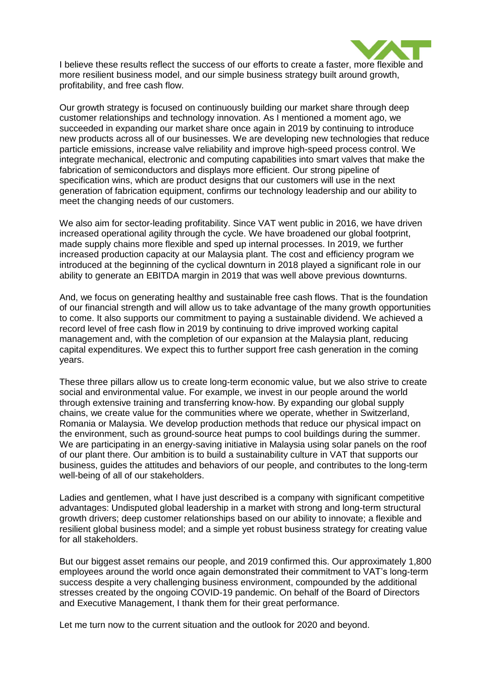

I believe these results reflect the success of our efforts to create a faster, more flexible and more resilient business model, and our simple business strategy built around growth, profitability, and free cash flow.

Our growth strategy is focused on continuously building our market share through deep customer relationships and technology innovation. As I mentioned a moment ago, we succeeded in expanding our market share once again in 2019 by continuing to introduce new products across all of our businesses. We are developing new technologies that reduce particle emissions, increase valve reliability and improve high-speed process control. We integrate mechanical, electronic and computing capabilities into smart valves that make the fabrication of semiconductors and displays more efficient. Our strong pipeline of specification wins, which are product designs that our customers will use in the next generation of fabrication equipment, confirms our technology leadership and our ability to meet the changing needs of our customers.

We also aim for sector-leading profitability. Since VAT went public in 2016, we have driven increased operational agility through the cycle. We have broadened our global footprint, made supply chains more flexible and sped up internal processes. In 2019, we further increased production capacity at our Malaysia plant. The cost and efficiency program we introduced at the beginning of the cyclical downturn in 2018 played a significant role in our ability to generate an EBITDA margin in 2019 that was well above previous downturns.

And, we focus on generating healthy and sustainable free cash flows. That is the foundation of our financial strength and will allow us to take advantage of the many growth opportunities to come. It also supports our commitment to paying a sustainable dividend. We achieved a record level of free cash flow in 2019 by continuing to drive improved working capital management and, with the completion of our expansion at the Malaysia plant, reducing capital expenditures. We expect this to further support free cash generation in the coming years.

These three pillars allow us to create long-term economic value, but we also strive to create social and environmental value. For example, we invest in our people around the world through extensive training and transferring know-how. By expanding our global supply chains, we create value for the communities where we operate, whether in Switzerland, Romania or Malaysia. We develop production methods that reduce our physical impact on the environment, such as ground-source heat pumps to cool buildings during the summer. We are participating in an energy-saving initiative in Malaysia using solar panels on the roof of our plant there. Our ambition is to build a sustainability culture in VAT that supports our business, guides the attitudes and behaviors of our people, and contributes to the long-term well-being of all of our stakeholders.

Ladies and gentlemen, what I have just described is a company with significant competitive advantages: Undisputed global leadership in a market with strong and long-term structural growth drivers; deep customer relationships based on our ability to innovate; a flexible and resilient global business model; and a simple yet robust business strategy for creating value for all stakeholders.

But our biggest asset remains our people, and 2019 confirmed this. Our approximately 1,800 employees around the world once again demonstrated their commitment to VAT's long-term success despite a very challenging business environment, compounded by the additional stresses created by the ongoing COVID-19 pandemic. On behalf of the Board of Directors and Executive Management, I thank them for their great performance.

Let me turn now to the current situation and the outlook for 2020 and beyond.